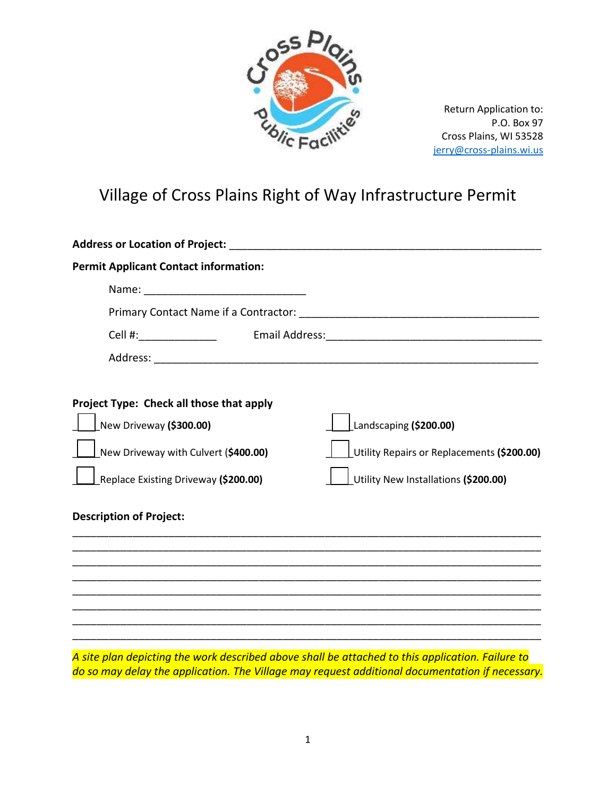

Return Application to: P.O. Box 97 Cross Plains, WI 53528 [jerry@cross-plains.wi.us](mailto:jerry@cross-plains.wi.us)

## Village of Cross Plains Right of Way Infrastructure Permit

| Address or Location of Project: Andrew Management of Address or Location of Project:           |                                            |
|------------------------------------------------------------------------------------------------|--------------------------------------------|
| <b>Permit Applicant Contact information:</b>                                                   |                                            |
|                                                                                                |                                            |
|                                                                                                |                                            |
| Cell #:_________________                                                                       |                                            |
|                                                                                                |                                            |
|                                                                                                |                                            |
| Project Type: Check all those that apply                                                       |                                            |
| New Driveway (\$300.00)                                                                        | Landscaping (\$200.00)                     |
| New Driveway with Culvert (\$400.00)                                                           | Utility Repairs or Replacements (\$200.00) |
| Replace Existing Driveway (\$200.00)                                                           | Utility New Installations (\$200.00)       |
| <b>Description of Project:</b>                                                                 |                                            |
|                                                                                                |                                            |
|                                                                                                |                                            |
|                                                                                                |                                            |
|                                                                                                |                                            |
| cita plan depisting the weak decepteed showe shall be strapped to this spoliestion. Failure to |                                            |

*A site plan depicting the work described above shall be attached to this application. Failure to do so may delay the application. The Village may request additional documentation if necessary.*